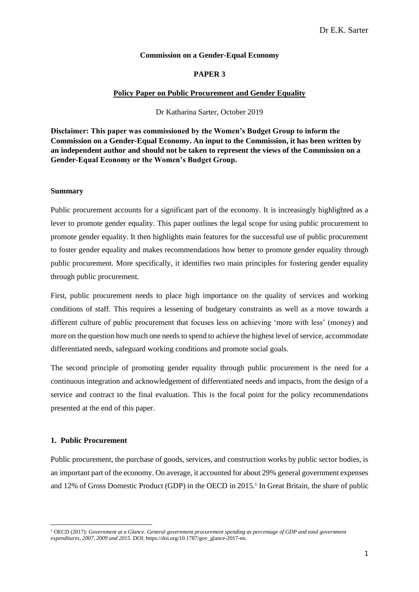## **Commission on a Gender-Equal Economy**

# **PAPER 3**

### **Policy Paper on Public Procurement and Gender Equality**

Dr Katharina Sarter, October 2019

**Disclaimer: This paper was commissioned by the Women's Budget Group to inform the Commission on a Gender-Equal Economy. An input to the Commission, it has been written by an independent author and should not be taken to represent the views of the Commission on a Gender-Equal Economy or the Women's Budget Group.** 

#### **Summary**

Public procurement accounts for a significant part of the economy. It is increasingly highlighted as a lever to promote gender equality. This paper outlines the legal scope for using public procurement to promote gender equality. It then highlights main features for the successful use of public procurement to foster gender equality and makes recommendations how better to promote gender equality through public procurement. More specifically, it identifies two main principles for fostering gender equality through public procurement.

First, public procurement needs to place high importance on the quality of services and working conditions of staff. This requires a lessening of budgetary constraints as well as a move towards a different culture of public procurement that focuses less on achieving 'more with less' (money) and more on the question how much one needs to spend to achieve the highest level of service, accommodate differentiated needs, safeguard working conditions and promote social goals.

The second principle of promoting gender equality through public procurement is the need for a continuous integration and acknowledgement of differentiated needs and impacts, from the design of a service and contract to the final evaluation. This is the focal point for the policy recommendations presented at the end of this paper.

### **1. Public Procurement**

Public procurement, the purchase of goods, services, and construction works by public sector bodies, is an important part of the economy. On average, it accounted for about 29% general government expenses and 12% of Gross Domestic Product (GDP) in the OECD in 2015. 1 In Great Britain, the share of public

<sup>1</sup> OECD (2017): *Government at a Glance. General government procurement spending as percentage of GDP and total government expenditures, 2007, 2009 and 2015*. DOI: https://doi.org/10.1787/gov\_glance-2017-en.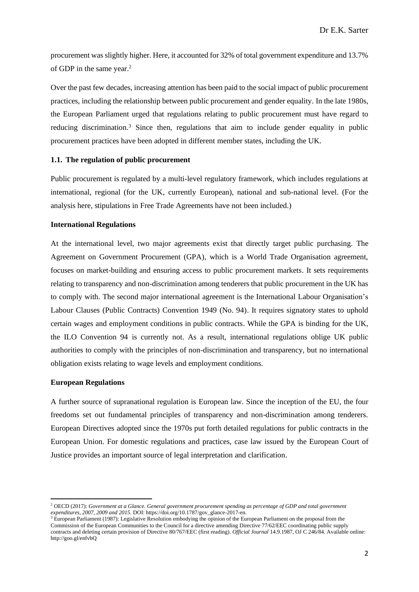procurement was slightly higher. Here, it accounted for 32% of total government expenditure and 13.7% of GDP in the same year. 2

Over the past few decades, increasing attention has been paid to the social impact of public procurement practices, including the relationship between public procurement and gender equality. In the late 1980s, the European Parliament urged that regulations relating to public procurement must have regard to reducing discrimination.<sup>3</sup> Since then, regulations that aim to include gender equality in public procurement practices have been adopted in different member states, including the UK.

### **1.1. The regulation of public procurement**

Public procurement is regulated by a multi-level regulatory framework, which includes regulations at international, regional (for the UK, currently European), national and sub-national level. (For the analysis here, stipulations in Free Trade Agreements have not been included.)

## **International Regulations**

At the international level, two major agreements exist that directly target public purchasing. The Agreement on Government Procurement (GPA), which is a World Trade Organisation agreement, focuses on market-building and ensuring access to public procurement markets. It sets requirements relating to transparency and non-discrimination among tenderers that public procurement in the UK has to comply with. The second major international agreement is the International Labour Organisation's Labour Clauses (Public Contracts) Convention 1949 (No. 94). It requires signatory states to uphold certain wages and employment conditions in public contracts. While the GPA is binding for the UK, the ILO Convention 94 is currently not. As a result, international regulations oblige UK public authorities to comply with the principles of non-discrimination and transparency, but no international obligation exists relating to wage levels and employment conditions.

### **European Regulations**

A further source of supranational regulation is European law. Since the inception of the EU, the four freedoms set out fundamental principles of transparency and non-discrimination among tenderers. European Directives adopted since the 1970s put forth detailed regulations for public contracts in the European Union. For domestic regulations and practices, case law issued by the European Court of Justice provides an important source of legal interpretation and clarification.

<sup>2</sup> OECD (2017): *Government at a Glance. General government procurement spending as percentage of GDP and total government expenditures, 2007, 2009 and 2015*. DOI: https://doi.org/10.1787/gov\_glance-2017-en.

<sup>&</sup>lt;sup>3</sup> European Parliament (1987): Legislative Resolution embodying the opinion of the European Parliament on the proposal from the Commission of the European Communities to the Council for a directive amending Directive 77/62/EEC coordinating public supply contracts and deleting certain provision of Directive 80/767/EEC (first reading). *Official Journal* 14.9.1987, OJ C 246/84. Available online: http://goo.gl/enfvbQ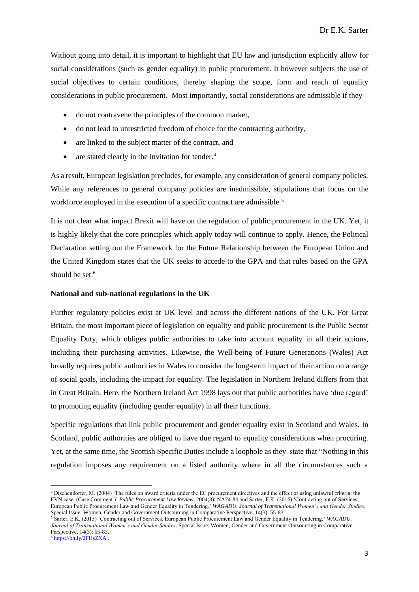Without going into detail, it is important to highlight that EU law and jurisdiction explicitly allow for social considerations (such as gender equality) in public procurement. It however subjects the use of social objectives to certain conditions, thereby shaping the scope, form and reach of equality considerations in public procurement. Most importantly, social considerations are admissible if they

- do not contravene the principles of the common market,
- do not lead to unrestricted freedom of choice for the contracting authority,
- are linked to the subject matter of the contract, and
- are stated clearly in the invitation for tender.<sup>4</sup>

As a result, European legislation precludes, for example, any consideration of general company policies. While any references to general company policies are inadmissible, stipulations that focus on the workforce employed in the execution of a specific contract are admissible.<sup>5</sup>

It is not clear what impact Brexit will have on the regulation of public procurement in the UK. Yet, it is highly likely that the core principles which apply today will continue to apply. Hence, the Political Declaration setting out the Framework for the Future Relationship between the European Union and the United Kingdom states that the UK seeks to accede to the GPA and that rules based on the GPA should be set.<sup>6</sup>

#### **National and sub-national regulations in the UK**

Further regulatory policies exist at UK level and across the different nations of the UK. For Great Britain, the most important piece of legislation on equality and public procurement is the Public Sector Equality Duty, which obliges public authorities to take into account equality in all their actions, including their purchasing activities. Likewise, the Well-being of Future Generations (Wales) Act broadly requires public authorities in Wales to consider the long-term impact of their action on a range of social goals, including the impact for equality. The legislation in Northern Ireland differs from that in Great Britain. Here, the Northern Ireland Act 1998 lays out that public authorities have 'due regard' to promoting equality (including gender equality) in all their functions.

Specific regulations that link public procurement and gender equality exist in Scotland and Wales. In Scotland, public authorities are obliged to have due regard to equality considerations when procuring. Yet, at the same time, the Scottish Specific Duties include a loophole as they state that "Nothing in this regulation imposes any requirement on a listed authority where in all the circumstances such a

<sup>4</sup> Dischendorfer, M. (2004) 'The rules on award criteria under the EC procurement directives and the effect of using unlawful criteria: the EVN case. (Case Comment.)' *Public Procurement Law Review*, 2004(3): NA74-84 and Sarter, E.K. (2015) 'Contracting out of Services, European Public Procurement Law and Gender Equality in Tendering.' *WAGADU. Journal of Transnational Women's and Gender Studies*. Special Issue: Women, Gender and Government Outsourcing in Comparative Perspective, 14(3): 55-83.

<sup>5</sup> Sarter, E.K. (2015) 'Contracting out of Services, European Public Procurement Law and Gender Equality in Tendering.' *WAGADU. Journal of Transnational Women's and Gender Studies*. Special Issue: Women, Gender and Government Outsourcing in Comparative Perspective, 14(3): 55-83.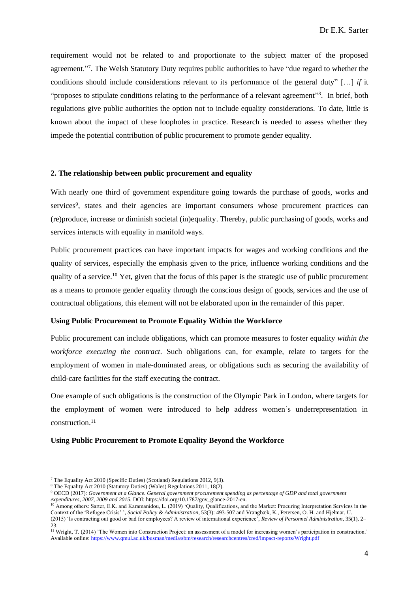requirement would not be related to and proportionate to the subject matter of the proposed agreement."<sup>7</sup> . The Welsh Statutory Duty requires public authorities to have "due regard to whether the conditions should include considerations relevant to its performance of the general duty" […] *if* it "proposes to stipulate conditions relating to the performance of a relevant agreement"<sup>8</sup>. In brief, both regulations give public authorities the option not to include equality considerations. To date, little is known about the impact of these loopholes in practice. Research is needed to assess whether they impede the potential contribution of public procurement to promote gender equality.

## **2. The relationship between public procurement and equality**

With nearly one third of government expenditure going towards the purchase of goods, works and services<sup>9</sup>, states and their agencies are important consumers whose procurement practices can (re)produce, increase or diminish societal (in)equality. Thereby, public purchasing of goods, works and services interacts with equality in manifold ways.

Public procurement practices can have important impacts for wages and working conditions and the quality of services, especially the emphasis given to the price, influence working conditions and the quality of a service.<sup>10</sup> Yet, given that the focus of this paper is the strategic use of public procurement as a means to promote gender equality through the conscious design of goods, services and the use of contractual obligations, this element will not be elaborated upon in the remainder of this paper.

## **Using Public Procurement to Promote Equality Within the Workforce**

Public procurement can include obligations, which can promote measures to foster equality *within the workforce executing the contract*. Such obligations can, for example, relate to targets for the employment of women in male-dominated areas, or obligations such as securing the availability of child-care facilities for the staff executing the contract.

One example of such obligations is the construction of the Olympic Park in London, where targets for the employment of women were introduced to help address women's underrepresentation in construction.<sup>11</sup>

### **Using Public Procurement to Promote Equality Beyond the Workforce**

<sup>7</sup> The Equality Act 2010 (Specific Duties) (Scotland) Regulations 2012, 9(3).

<sup>8</sup> The Equality Act 2010 (Statutory Duties) (Wales) Regulations 2011, 18(2).

<sup>9</sup> OECD (2017): *Government at a Glance. General government procurement spending as percentage of GDP and total government expenditures, 2007, 2009 and 2015*. DOI: https://doi.org/10.1787/gov\_glance-2017-en.

<sup>&</sup>lt;sup>10</sup> Among others: Sarter, E.K. and Karamanidou, L. (2019) 'Quality, Qualifications, and the Market: Procuring Interpretation Services in the Context of the 'Refugee Crisis' ', *Social Policy & Administration*, 53(3): 493-507 and Vrangbæk, K., Petersen, O. H. and Hjelmar, U. (2015) 'Is contracting out good or bad for employees? A review of international experience', *Review of Personnel Administration*, 35(1), 2–

<sup>23.</sup> <sup>11</sup> Wright, T. (2014) 'The Women into Construction Project: an assessment of a model for increasing women's participation in construction.' Available online[: https://www.qmul.ac.uk/busman/media/sbm/research/researchcentres/cred/impact-reports/Wright.pdf](https://www.qmul.ac.uk/busman/media/sbm/research/researchcentres/cred/impact-reports/Wright.pdf)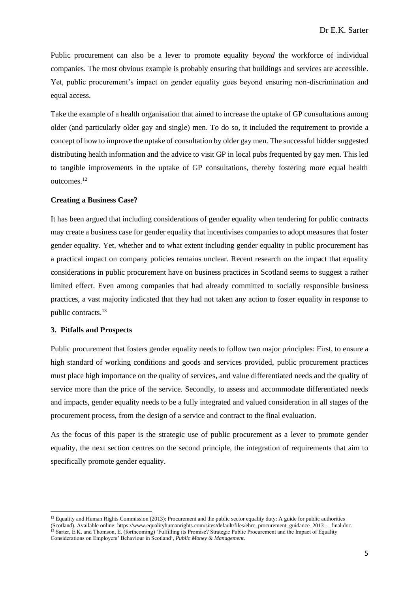Public procurement can also be a lever to promote equality *beyond* the workforce of individual companies. The most obvious example is probably ensuring that buildings and services are accessible. Yet, public procurement's impact on gender equality goes beyond ensuring non-discrimination and equal access.

Take the example of a health organisation that aimed to increase the uptake of GP consultations among older (and particularly older gay and single) men. To do so, it included the requirement to provide a concept of how to improve the uptake of consultation by older gay men. The successful bidder suggested distributing health information and the advice to visit GP in local pubs frequented by gay men. This led to tangible improvements in the uptake of GP consultations, thereby fostering more equal health outcomes.<sup>12</sup>

# **Creating a Business Case?**

It has been argued that including considerations of gender equality when tendering for public contracts may create a business case for gender equality that incentivises companies to adopt measures that foster gender equality. Yet, whether and to what extent including gender equality in public procurement has a practical impact on company policies remains unclear. Recent research on the impact that equality considerations in public procurement have on business practices in Scotland seems to suggest a rather limited effect. Even among companies that had already committed to socially responsible business practices, a vast majority indicated that they had not taken any action to foster equality in response to public contracts. 13

# **3. Pitfalls and Prospects**

Public procurement that fosters gender equality needs to follow two major principles: First, to ensure a high standard of working conditions and goods and services provided, public procurement practices must place high importance on the quality of services, and value differentiated needs and the quality of service more than the price of the service. Secondly, to assess and accommodate differentiated needs and impacts, gender equality needs to be a fully integrated and valued consideration in all stages of the procurement process, from the design of a service and contract to the final evaluation.

As the focus of this paper is the strategic use of public procurement as a lever to promote gender equality, the next section centres on the second principle, the integration of requirements that aim to specifically promote gender equality.

 $12$  Equality and Human Rights Commission (2013): Procurement and the public sector equality duty: A guide for public authorities (Scotland). Available online: https://www.equalityhumanrights.com/sites/default/files/ehrc\_procurement\_guidance\_2013\_-\_final.doc. <sup>13</sup> Sarter, E.K. and Thomson, E. (forthcoming) 'Fulfilling its Promise? Strategic Public Procurement and the Impact of Equality Considerations on Employers' Behaviour in Scotland', *Public Money & Management*.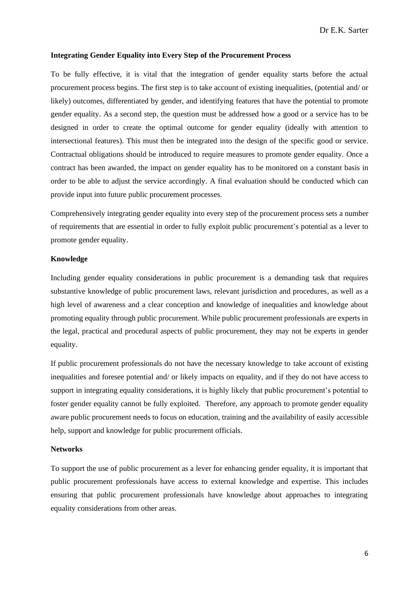### **Integrating Gender Equality into Every Step of the Procurement Process**

To be fully effective, it is vital that the integration of gender equality starts before the actual procurement process begins. The first step is to take account of existing inequalities, (potential and/ or likely) outcomes, differentiated by gender, and identifying features that have the potential to promote gender equality. As a second step, the question must be addressed how a good or a service has to be designed in order to create the optimal outcome for gender equality (ideally with attention to intersectional features). This must then be integrated into the design of the specific good or service. Contractual obligations should be introduced to require measures to promote gender equality. Once a contract has been awarded, the impact on gender equality has to be monitored on a constant basis in order to be able to adjust the service accordingly. A final evaluation should be conducted which can provide input into future public procurement processes.

Comprehensively integrating gender equality into every step of the procurement process sets a number of requirements that are essential in order to fully exploit public procurement's potential as a lever to promote gender equality.

# **Knowledge**

Including gender equality considerations in public procurement is a demanding task that requires substantive knowledge of public procurement laws, relevant jurisdiction and procedures, as well as a high level of awareness and a clear conception and knowledge of inequalities and knowledge about promoting equality through public procurement. While public procurement professionals are experts in the legal, practical and procedural aspects of public procurement, they may not be experts in gender equality.

If public procurement professionals do not have the necessary knowledge to take account of existing inequalities and foresee potential and/ or likely impacts on equality, and if they do not have access to support in integrating equality considerations, it is highly likely that public procurement's potential to foster gender equality cannot be fully exploited. Therefore, any approach to promote gender equality aware public procurement needs to focus on education, training and the availability of easily accessible help, support and knowledge for public procurement officials.

## **Networks**

To support the use of public procurement as a lever for enhancing gender equality, it is important that public procurement professionals have access to external knowledge and expertise. This includes ensuring that public procurement professionals have knowledge about approaches to integrating equality considerations from other areas.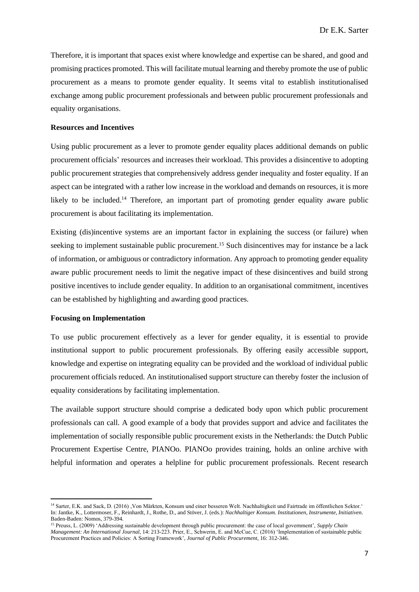Therefore, it is important that spaces exist where knowledge and expertise can be shared, and good and promising practices promoted. This will facilitate mutual learning and thereby promote the use of public procurement as a means to promote gender equality. It seems vital to establish institutionalised exchange among public procurement professionals and between public procurement professionals and equality organisations.

# **Resources and Incentives**

Using public procurement as a lever to promote gender equality places additional demands on public procurement officials' resources and increases their workload. This provides a disincentive to adopting public procurement strategies that comprehensively address gender inequality and foster equality. If an aspect can be integrated with a rather low increase in the workload and demands on resources, it is more likely to be included.<sup>14</sup> Therefore, an important part of promoting gender equality aware public procurement is about facilitating its implementation.

Existing (dis)incentive systems are an important factor in explaining the success (or failure) when seeking to implement sustainable public procurement.<sup>15</sup> Such disincentives may for instance be a lack of information, or ambiguous or contradictory information. Any approach to promoting gender equality aware public procurement needs to limit the negative impact of these disincentives and build strong positive incentives to include gender equality. In addition to an organisational commitment, incentives can be established by highlighting and awarding good practices.

#### **Focusing on Implementation**

To use public procurement effectively as a lever for gender equality, it is essential to provide institutional support to public procurement professionals. By offering easily accessible support, knowledge and expertise on integrating equality can be provided and the workload of individual public procurement officials reduced. An institutionalised support structure can thereby foster the inclusion of equality considerations by facilitating implementation.

The available support structure should comprise a dedicated body upon which public procurement professionals can call. A good example of a body that provides support and advice and facilitates the implementation of socially responsible public procurement exists in the Netherlands: the Dutch Public Procurement Expertise Centre, PIANOo. PIANOo provides training, holds an online archive with helpful information and operates a helpline for public procurement professionals. Recent research

<sup>14</sup> Sarter, E.K. and Sack, D. (2016) 'Von Märkten, Konsum und einer besseren Welt. Nachhaltigkeit und Fairtrade im öffentlichen Sektor.' In: Jantke, K., Lottermoser, F., Reinhardt, J., Rothe, D., and Stöver, J. (eds.): *Nachhaltiger Konsum. Institutionen, Instrumente, Initiativen*. Baden-Baden: Nomos, 379-394.

<sup>15</sup> Preuss, L. (2009) 'Addressing sustainable development through public procurement: the case of local government', *Supply Chain Management: An International Journal*, 14: 213-223. Prier, E., Schwerin, E. and McCue, C. (2016) 'Implementation of sustainable public Procurement Practices and Policies: A Sorting Framework', *Journal of Public Procurement*, 16: 312-346.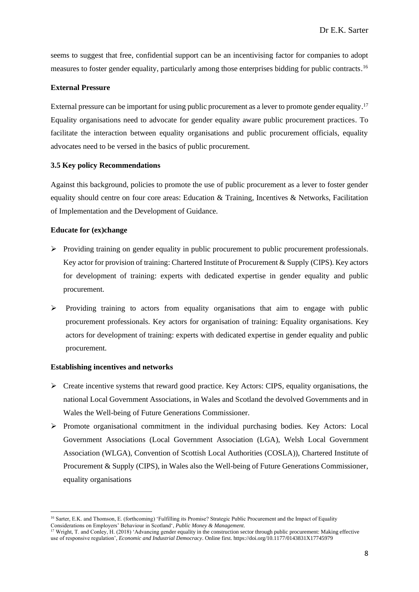seems to suggest that free, confidential support can be an incentivising factor for companies to adopt measures to foster gender equality, particularly among those enterprises bidding for public contracts.<sup>16</sup>

# **External Pressure**

External pressure can be important for using public procurement as a lever to promote gender equality.<sup>17</sup> Equality organisations need to advocate for gender equality aware public procurement practices. To facilitate the interaction between equality organisations and public procurement officials, equality advocates need to be versed in the basics of public procurement.

# **3.5 Key policy Recommendations**

Against this background, policies to promote the use of public procurement as a lever to foster gender equality should centre on four core areas: Education & Training, Incentives & Networks, Facilitation of Implementation and the Development of Guidance.

### **Educate for (ex)change**

- ➢ Providing training on gender equality in public procurement to public procurement professionals. Key actor for provision of training: Chartered Institute of Procurement & Supply (CIPS). Key actors for development of training: experts with dedicated expertise in gender equality and public procurement.
- $\triangleright$  Providing training to actors from equality organisations that aim to engage with public procurement professionals. Key actors for organisation of training: Equality organisations. Key actors for development of training: experts with dedicated expertise in gender equality and public procurement.

#### **Establishing incentives and networks**

- ➢ Create incentive systems that reward good practice. Key Actors: CIPS, equality organisations, the national Local Government Associations, in Wales and Scotland the devolved Governments and in Wales the Well-being of Future Generations Commissioner.
- ➢ Promote organisational commitment in the individual purchasing bodies. Key Actors: Local Government Associations (Local Government Association (LGA), Welsh Local Government Association (WLGA), Convention of Scottish Local Authorities (COSLA)), Chartered Institute of Procurement & Supply (CIPS), in Wales also the Well-being of Future Generations Commissioner, equality organisations

<sup>&</sup>lt;sup>16</sup> Sarter, E.K. and Thomson, E. (forthcoming) 'Fulfilling its Promise? Strategic Public Procurement and the Impact of Equality Considerations on Employers' Behaviour in Scotland', *Public Money & Management*.

<sup>&</sup>lt;sup>17</sup> Wright, T. and Conley, H. (2018) 'Advancing gender equality in the construction sector through public procurement: Making effective use of responsive regulation', *Economic and Industrial Democracy*. Online first. https://doi.org/10.1177/0143831X17745979